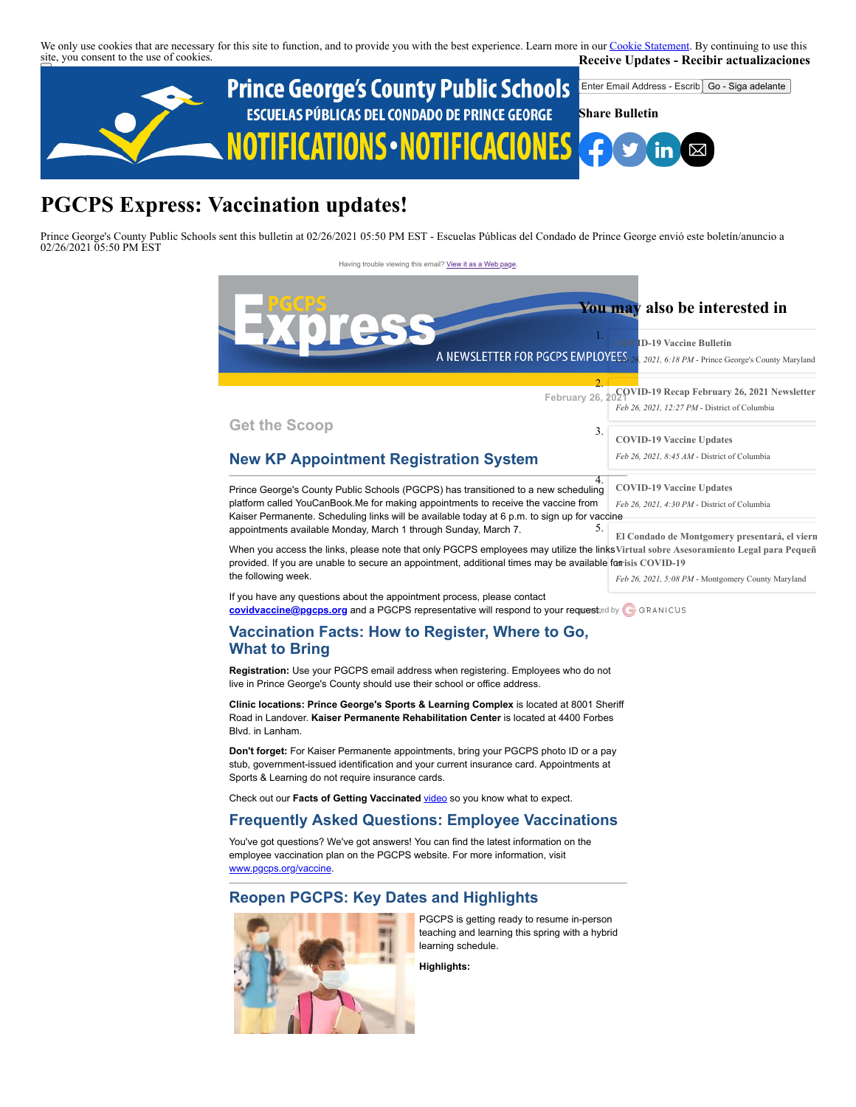We only use cookies that are necessary for this site to function, and to provide you with the best experience. Learn more in our [Cookie Statement.](https://subscriberhelp.granicus.com/s/article/Cookies) By continuing to use this site, you consent to the use of cookies. **Receive Updates - Recibir actualizaciones**



# **PGCPS Express: Vaccination updates!**

Prince George's County Public Schools sent this bulletin at 02/26/2021 05:50 PM EST - Escuelas Públicas del Condado de Prince George envió este boletín/anuncio a 02/26/2021 05:50 PM EST

| You may also be interested in                                                                                                                                                                                                                                                                       |
|-----------------------------------------------------------------------------------------------------------------------------------------------------------------------------------------------------------------------------------------------------------------------------------------------------|
| <b>COVID-19 Vaccine Bulletin</b>                                                                                                                                                                                                                                                                    |
| A NEWSLETTER FOR PGCPS EMPLOYEES, 26, 2021, 6:18 PM - Prince George's County Maryland                                                                                                                                                                                                               |
| February 26, 2021 VID-19 Recap February 26, 2021 Newsletter<br>Feb 26, 2021, 12:27 PM - District of Columbia                                                                                                                                                                                        |
| <b>COVID-19 Vaccine Updates</b>                                                                                                                                                                                                                                                                     |
| Feb 26, 2021, 8:45 AM - District of Columbia                                                                                                                                                                                                                                                        |
| <b>COVID-19 Vaccine Updates</b>                                                                                                                                                                                                                                                                     |
| Feb 26, 2021, 4:30 PM - District of Columbia                                                                                                                                                                                                                                                        |
| Kaiser Permanente. Scheduling links will be available today at 6 p.m. to sign up for vaccine                                                                                                                                                                                                        |
| El Condado de Montgomery presentará, el viern<br>When you access the links, please note that only PGCPS employees may utilize the links Virtual sobre Asesoramiento Legal para Pequeñ<br>provided. If you are unable to secure an appointment, additional times may be available for risis COVID-19 |
| Feb 26, 2021, 5:08 PM - Montgomery County Maryland                                                                                                                                                                                                                                                  |
| covidvaccine@pgcps.org and a PGCPS representative will respond to your requested by @ GRANICUS                                                                                                                                                                                                      |
|                                                                                                                                                                                                                                                                                                     |
|                                                                                                                                                                                                                                                                                                     |
|                                                                                                                                                                                                                                                                                                     |
|                                                                                                                                                                                                                                                                                                     |
|                                                                                                                                                                                                                                                                                                     |
|                                                                                                                                                                                                                                                                                                     |
|                                                                                                                                                                                                                                                                                                     |
|                                                                                                                                                                                                                                                                                                     |
|                                                                                                                                                                                                                                                                                                     |
|                                                                                                                                                                                                                                                                                                     |



teaching and learning this spring with a hybrid learning schedule.

**Highlights:**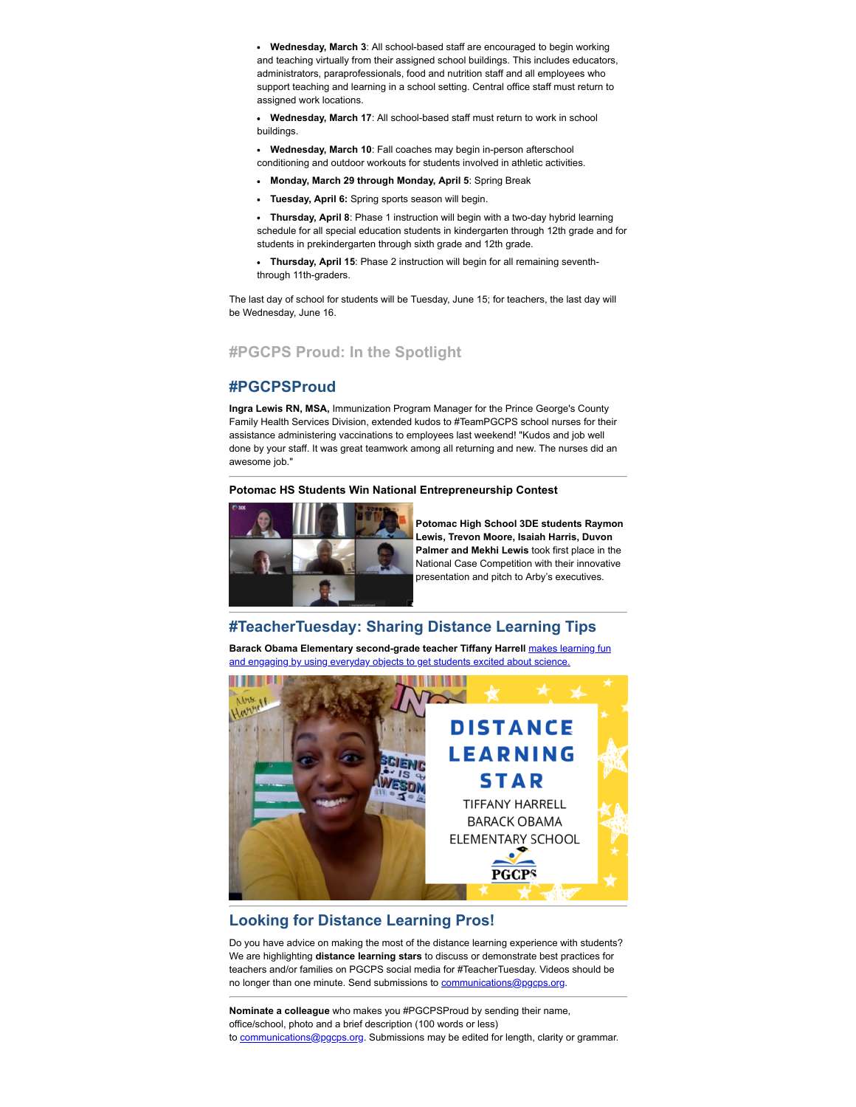**Wednesday, March 3**: All school-based staff are encouraged to begin working and teaching virtually from their assigned school buildings. This includes educators, administrators, paraprofessionals, food and nutrition staff and all employees who support teaching and learning in a school setting. Central office staff must return to assigned work locations.

**Wednesday, March 17**: All school-based staff must return to work in school buildings.

**Wednesday, March 10**: Fall coaches may begin in-person afterschool  $\bullet$ conditioning and outdoor workouts for students involved in athletic activities.

- **Monday, March 29 through Monday, April 5**: Spring Break
- **Tuesday, April 6:** Spring sports season will begin.

**Thursday, April 8**: Phase 1 instruction will begin with a two-day hybrid learning schedule for all special education students in kindergarten through 12th grade and for students in prekindergarten through sixth grade and 12th grade.

**Thursday, April 15**: Phase 2 instruction will begin for all remaining sevenththrough 11th-graders.

The last day of school for students will be Tuesday, June 15; for teachers, the last day will be Wednesday, June 16.

## **#PGCPS Proud: In the Spotlight**

## **#PGCPSProud**

**Ingra Lewis RN, MSA,** Immunization Program Manager for the Prince George's County Family Health Services Division, extended kudos to #TeamPGCPS school nurses for their assistance administering vaccinations to employees last weekend! "Kudos and job well done by your staff. It was great teamwork among all returning and new. The nurses did an awesome job."

#### **Potomac HS Students Win National Entrepreneurship Contest**



**Potomac High School 3DE students Raymon Lewis, Trevon Moore, Isaiah Harris, Duvon Palmer and Mekhi Lewis** took first place in the National Case Competition with their innovative presentation and pitch to Arby's executives.

## **#TeacherTuesday: Sharing Distance Learning Tips**

**Barack Obama Elementary second-grade teacher Tiffany Harrell makes learning fun** [and engaging by using everyday objects to get students excited about science.](https://www.youtube.com/watch?v=DsPYdFSBZVU&feature=youtu.be)



## **Looking for Distance Learning Pros!**

Do you have advice on making the most of the distance learning experience with students? We are highlighting **distance learning stars** to discuss or demonstrate best practices for teachers and/or families on PGCPS social media for #TeacherTuesday. Videos should be no longer than one minute. Send submissions to **[communications@pgcps.org](mailto:communications@pgcps.org)**.

**Nominate a colleague** who makes you #PGCPSProud by sending their name, office/school, photo and a brief description (100 words or less) to [communications@pgcps.org](mailto:communications@pgcps.org). Submissions may be edited for length, clarity or grammar.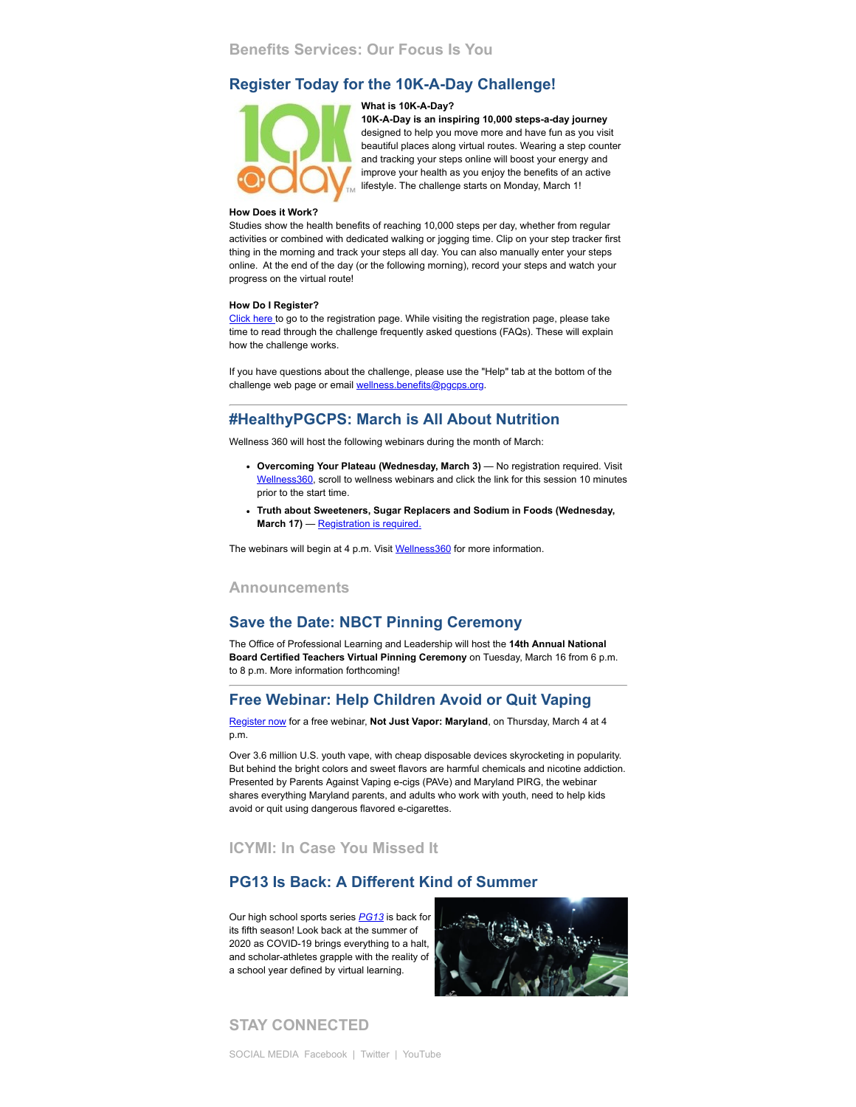## **Register Today for the 10K-A-Day Challenge!**



**10K-A-Day is an inspiring 10,000 steps-a-day journey** designed to help you move more and have fun as you visit beautiful places along virtual routes. Wearing a step counter and tracking your steps online will boost your energy and improve your health as you enjoy the benefits of an active lifestyle. The challenge starts on Monday, March 1!

#### **How Does it Work?**

Studies show the health benefits of reaching 10,000 steps per day, whether from regular activities or combined with dedicated walking or jogging time. Clip on your step tracker first thing in the morning and track your steps all day. You can also manually enter your steps online. At the end of the day (or the following morning), record your steps and watch your progress on the virtual route!

#### **How Do I Register?**

[Click here](https://pgcps.10kaday.com/) to go to the registration page. While visiting the registration page, please take time to read through the challenge frequently asked questions (FAQs). These will explain how the challenge works.

If you have questions about the challenge, please use the "Help" tab at the bottom of the challenge web page or email [wellness.benefits@pgcps.org](mailto:wellness.benefits@pgcps.org).

## **#HealthyPGCPS: March is All About Nutrition**

Wellness 360 will host the following webinars during the month of March:

- **Overcoming Your Plateau (Wednesday, March 3)** No registration required. Visit [Wellness360,](https://offices.pgcps.org/Wellness/Cards/Employee-Wellness-Program/) scroll to wellness webinars and click the link for this session 10 minutes prior to the start time.
- **Truth about Sweeteners, Sugar Replacers and Sodium in Foods (Wednesday, March 17)** — [Registration is required.](https://kponline.webex.com/mw3300/mywebex/default.do?service=7&nomenu=true&main_url=%2Ftc3300%2Ftrainingcenter%2FLoading.do%3Fsiteurl%3Dkponline%26UID%3D-99999999%26RT%3DMiMxMQ%253D%253D%26siteurl%3Dkponline%26apiname%3Dj.php%26MTID%3Dt1006eded23f5935fb17ca5591feb91e0%26FM%3D1%26rnd%3D7557241255%26servicename%3DTC%26ED%3D1147959702%26needFilter%3Dfalse&siteurl=kponline)

The webinars will begin at 4 p.m. Visit [Wellness360](https://offices.pgcps.org/Wellness/Cards/Employee-Wellness-Program/) for more information.

### **Announcements**

## **Save the Date: NBCT Pinning Ceremony**

The Office of Professional Learning and Leadership will host the **14th Annual National Board Certified Teachers Virtual Pinning Ceremony** on Tuesday, March 16 from 6 p.m. to 8 p.m. More information forthcoming!

## **Free Webinar: Help Children Avoid or Quit Vaping**

[Register now](https://pave.salsalabs.org/notjustvapormaryland/index.html) for a free webinar, **Not Just Vapor: Maryland**, on Thursday, March 4 at 4 p.m.

Over 3.6 million U.S. youth vape, with cheap disposable devices skyrocketing in popularity. But behind the bright colors and sweet flavors are harmful chemicals and nicotine addiction. Presented by Parents Against Vaping e-cigs (PAVe) and Maryland PIRG, the webinar shares everything Maryland parents, and adults who work with youth, need to help kids avoid or quit using dangerous flavored e-cigarettes.

## **ICYMI: In Case You Missed It**

## **PG13 Is Back: A Different Kind of Summer**

Our high school sports series *[PG13](https://www.youtube.com/watch?v=dMXD6wo-g24&feature=emb_title)* is back for its fifth season! Look back at the summer of 2020 as COVID-19 brings everything to a halt, and scholar-athletes grapple with the reality of a school year defined by virtual learning.



## **STAY CONNECTED**

SOCIAL MEDIA [Facebook](http://links.govdelivery.com/track?type=click&enid=ZWFzPTEmbXNpZD0mYXVpZD0mbWFpbGluZ2lkPTIwMTgwOTA3Ljk0NjA1NTYxJm1lc3NhZ2VpZD1NREItUFJELUJVTC0yMDE4MDkwNy45NDYwNTU2MSZkYXRhYmFzZWlkPTEwMDEmc2VyaWFsPTE3MDM2NzQxJmVtYWlsaWQ9c2hhdm9uLm1jY29ubmVsbEBwZ2Nwcy5vcmcmdXNlcmlkPXNoYXZvbi5tY2Nvbm5lbGxAcGdjcHMub3JnJnRhcmdldGlkPSZmbD0mZXh0cmE9TXVsdGl2YXJpYXRlSWQ9JiYm&&&107&&&http://www.facebook.com/pgcps) | [Twitter](http://links.govdelivery.com/track?type=click&enid=ZWFzPTEmbXNpZD0mYXVpZD0mbWFpbGluZ2lkPTIwMTgwOTA3Ljk0NjA1NTYxJm1lc3NhZ2VpZD1NREItUFJELUJVTC0yMDE4MDkwNy45NDYwNTU2MSZkYXRhYmFzZWlkPTEwMDEmc2VyaWFsPTE3MDM2NzQxJmVtYWlsaWQ9c2hhdm9uLm1jY29ubmVsbEBwZ2Nwcy5vcmcmdXNlcmlkPXNoYXZvbi5tY2Nvbm5lbGxAcGdjcHMub3JnJnRhcmdldGlkPSZmbD0mZXh0cmE9TXVsdGl2YXJpYXRlSWQ9JiYm&&&108&&&https://twitter.com/pgcps) | [YouTube](http://links.govdelivery.com/track?type=click&enid=ZWFzPTEmbXNpZD0mYXVpZD0mbWFpbGluZ2lkPTIwMTgwOTA3Ljk0NjA1NTYxJm1lc3NhZ2VpZD1NREItUFJELUJVTC0yMDE4MDkwNy45NDYwNTU2MSZkYXRhYmFzZWlkPTEwMDEmc2VyaWFsPTE3MDM2NzQxJmVtYWlsaWQ9c2hhdm9uLm1jY29ubmVsbEBwZ2Nwcy5vcmcmdXNlcmlkPXNoYXZvbi5tY2Nvbm5lbGxAcGdjcHMub3JnJnRhcmdldGlkPSZmbD0mZXh0cmE9TXVsdGl2YXJpYXRlSWQ9JiYm&&&109&&&http://www.youtube.com/pgcpsvideo)